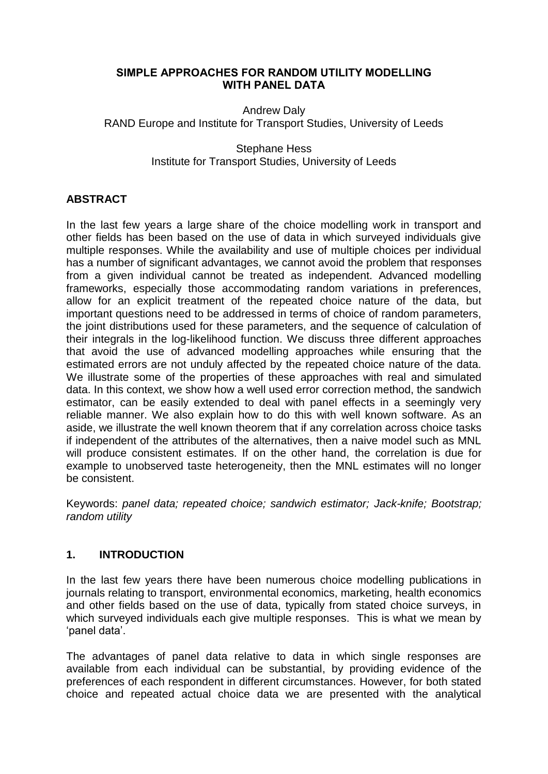#### **SIMPLE APPROACHES FOR RANDOM UTILITY MODELLING WITH PANEL DATA**

Andrew Daly RAND Europe and Institute for Transport Studies, University of Leeds

> Stephane Hess Institute for Transport Studies, University of Leeds

# **ABSTRACT**

In the last few years a large share of the choice modelling work in transport and other fields has been based on the use of data in which surveyed individuals give multiple responses. While the availability and use of multiple choices per individual has a number of significant advantages, we cannot avoid the problem that responses from a given individual cannot be treated as independent. Advanced modelling frameworks, especially those accommodating random variations in preferences, allow for an explicit treatment of the repeated choice nature of the data, but important questions need to be addressed in terms of choice of random parameters, the joint distributions used for these parameters, and the sequence of calculation of their integrals in the log-likelihood function. We discuss three different approaches that avoid the use of advanced modelling approaches while ensuring that the estimated errors are not unduly affected by the repeated choice nature of the data. We illustrate some of the properties of these approaches with real and simulated data. In this context, we show how a well used error correction method, the sandwich estimator, can be easily extended to deal with panel effects in a seemingly very reliable manner. We also explain how to do this with well known software. As an aside, we illustrate the well known theorem that if any correlation across choice tasks if independent of the attributes of the alternatives, then a naive model such as MNL will produce consistent estimates. If on the other hand, the correlation is due for example to unobserved taste heterogeneity, then the MNL estimates will no longer be consistent.

Keywords: *panel data; repeated choice; sandwich estimator; Jack-knife; Bootstrap; random utility*

# **1. INTRODUCTION**

In the last few years there have been numerous choice modelling publications in journals relating to transport, environmental economics, marketing, health economics and other fields based on the use of data, typically from stated choice surveys, in which surveyed individuals each give multiple responses. This is what we mean by "panel data".

The advantages of panel data relative to data in which single responses are available from each individual can be substantial, by providing evidence of the preferences of each respondent in different circumstances. However, for both stated choice and repeated actual choice data we are presented with the analytical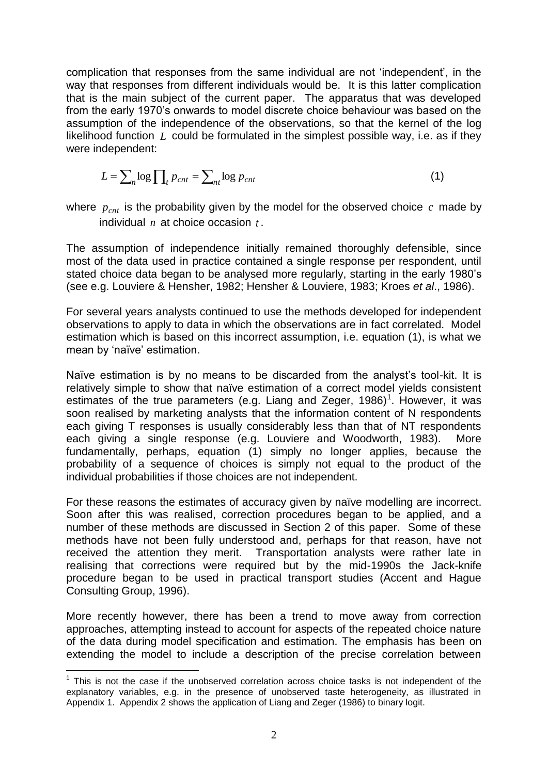complication that responses from the same individual are not "independent", in the way that responses from different individuals would be. It is this latter complication that is the main subject of the current paper. The apparatus that was developed from the early 1970"s onwards to model discrete choice behaviour was based on the assumption of the independence of the observations, so that the kernel of the log likelihood function L could be formulated in the simplest possible way, i.e. as if they were independent:

$$
L = \sum_{n} \log \prod_{t} p_{cnt} = \sum_{nt} \log p_{cnt}
$$
 (1)

where  $p_{cnt}$  is the probability given by the model for the observed choice  $c$  made by individual *n* at choice occasion *t* .

The assumption of independence initially remained thoroughly defensible, since most of the data used in practice contained a single response per respondent, until stated choice data began to be analysed more regularly, starting in the early 1980"s (see e.g. Louviere & Hensher, 1982; Hensher & Louviere, 1983; Kroes *et al*., 1986).

For several years analysts continued to use the methods developed for independent observations to apply to data in which the observations are in fact correlated. Model estimation which is based on this incorrect assumption, i.e. equation (1), is what we mean by 'naïve' estimation.

Naïve estimation is by no means to be discarded from the analyst"s tool-kit. It is relatively simple to show that naïve estimation of a correct model yields consistent estimates of the true parameters (e.g. Liang and Zeger, 1986)<sup>1</sup>. However, it was soon realised by marketing analysts that the information content of N respondents each giving T responses is usually considerably less than that of NT respondents each giving a single response (e.g. Louviere and Woodworth, 1983). More fundamentally, perhaps, equation (1) simply no longer applies, because the probability of a sequence of choices is simply not equal to the product of the individual probabilities if those choices are not independent.

For these reasons the estimates of accuracy given by naïve modelling are incorrect. Soon after this was realised, correction procedures began to be applied, and a number of these methods are discussed in Section 2 of this paper. Some of these methods have not been fully understood and, perhaps for that reason, have not received the attention they merit. Transportation analysts were rather late in realising that corrections were required but by the mid-1990s the Jack-knife procedure began to be used in practical transport studies (Accent and Hague Consulting Group, 1996).

More recently however, there has been a trend to move away from correction approaches, attempting instead to account for aspects of the repeated choice nature of the data during model specification and estimation. The emphasis has been on extending the model to include a description of the precise correlation between

<sup>&</sup>lt;u>.</u>  $1$  This is not the case if the unobserved correlation across choice tasks is not independent of the explanatory variables, e.g. in the presence of unobserved taste heterogeneity, as illustrated in Appendix 1. Appendix 2 shows the application of Liang and Zeger (1986) to binary logit.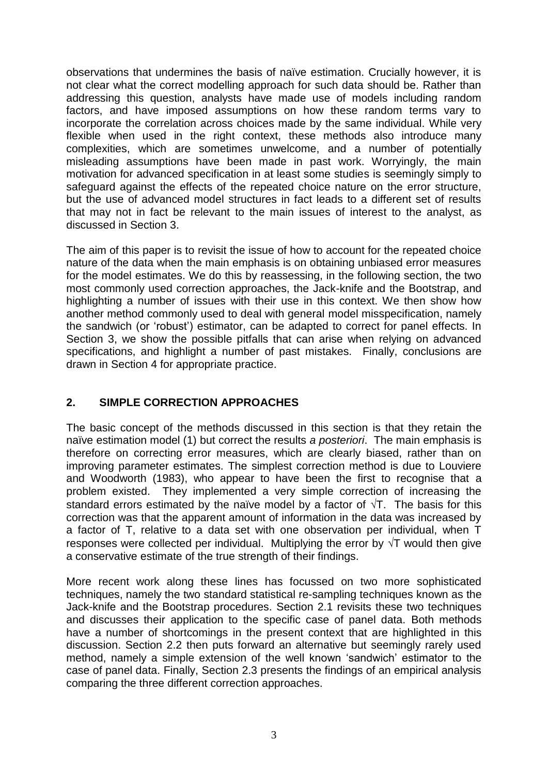observations that undermines the basis of naïve estimation. Crucially however, it is not clear what the correct modelling approach for such data should be. Rather than addressing this question, analysts have made use of models including random factors, and have imposed assumptions on how these random terms vary to incorporate the correlation across choices made by the same individual. While very flexible when used in the right context, these methods also introduce many complexities, which are sometimes unwelcome, and a number of potentially misleading assumptions have been made in past work. Worryingly, the main motivation for advanced specification in at least some studies is seemingly simply to safeguard against the effects of the repeated choice nature on the error structure, but the use of advanced model structures in fact leads to a different set of results that may not in fact be relevant to the main issues of interest to the analyst, as discussed in Section 3.

The aim of this paper is to revisit the issue of how to account for the repeated choice nature of the data when the main emphasis is on obtaining unbiased error measures for the model estimates. We do this by reassessing, in the following section, the two most commonly used correction approaches, the Jack-knife and the Bootstrap, and highlighting a number of issues with their use in this context. We then show how another method commonly used to deal with general model misspecification, namely the sandwich (or "robust") estimator, can be adapted to correct for panel effects. In Section 3, we show the possible pitfalls that can arise when relying on advanced specifications, and highlight a number of past mistakes. Finally, conclusions are drawn in Section 4 for appropriate practice.

# **2. SIMPLE CORRECTION APPROACHES**

The basic concept of the methods discussed in this section is that they retain the naïve estimation model (1) but correct the results *a posteriori*. The main emphasis is therefore on correcting error measures, which are clearly biased, rather than on improving parameter estimates. The simplest correction method is due to Louviere and Woodworth (1983), who appear to have been the first to recognise that a problem existed. They implemented a very simple correction of increasing the standard errors estimated by the naïve model by a factor of  $\sqrt{T}$ . The basis for this correction was that the apparent amount of information in the data was increased by a factor of T, relative to a data set with one observation per individual, when T responses were collected per individual. Multiplying the error by  $\sqrt{T}$  would then give a conservative estimate of the true strength of their findings.

More recent work along these lines has focussed on two more sophisticated techniques, namely the two standard statistical re-sampling techniques known as the Jack-knife and the Bootstrap procedures. Section 2.1 revisits these two techniques and discusses their application to the specific case of panel data. Both methods have a number of shortcomings in the present context that are highlighted in this discussion. Section 2.2 then puts forward an alternative but seemingly rarely used method, namely a simple extension of the well known "sandwich" estimator to the case of panel data. Finally, Section 2.3 presents the findings of an empirical analysis comparing the three different correction approaches.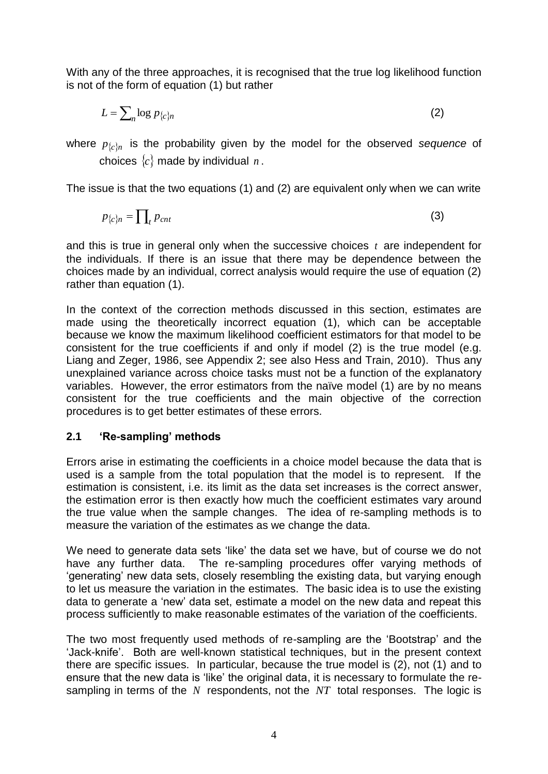With any of the three approaches, it is recognised that the true log likelihood function is not of the form of equation (1) but rather

$$
L = \sum_{n} \log p_{\{c\}n} \tag{2}
$$

where  $p_{\{c\}n}$  is the probability given by the model for the observed *sequence* of choices  $\{c\}$  made by individual  $n$ .

The issue is that the two equations (1) and (2) are equivalent only when we can write

$$
p_{\{c\}n} = \prod_{t} p_{cnt} \tag{3}
$$

and this is true in general only when the successive choices *t* are independent for the individuals. If there is an issue that there may be dependence between the choices made by an individual, correct analysis would require the use of equation (2) rather than equation (1).

In the context of the correction methods discussed in this section, estimates are made using the theoretically incorrect equation (1), which can be acceptable because we know the maximum likelihood coefficient estimators for that model to be consistent for the true coefficients if and only if model (2) is the true model (e.g. Liang and Zeger, 1986, see Appendix 2; see also Hess and Train, 2010). Thus any unexplained variance across choice tasks must not be a function of the explanatory variables. However, the error estimators from the naïve model (1) are by no means consistent for the true coefficients and the main objective of the correction procedures is to get better estimates of these errors.

## **2.1 'Re-sampling' methods**

Errors arise in estimating the coefficients in a choice model because the data that is used is a sample from the total population that the model is to represent. If the estimation is consistent, i.e. its limit as the data set increases is the correct answer, the estimation error is then exactly how much the coefficient estimates vary around the true value when the sample changes. The idea of re-sampling methods is to measure the variation of the estimates as we change the data.

We need to generate data sets 'like' the data set we have, but of course we do not have any further data. The re-sampling procedures offer varying methods of "generating" new data sets, closely resembling the existing data, but varying enough to let us measure the variation in the estimates. The basic idea is to use the existing data to generate a "new" data set, estimate a model on the new data and repeat this process sufficiently to make reasonable estimates of the variation of the coefficients.

The two most frequently used methods of re-sampling are the "Bootstrap" and the "Jack-knife". Both are well-known statistical techniques, but in the present context there are specific issues. In particular, because the true model is (2), not (1) and to ensure that the new data is "like" the original data, it is necessary to formulate the resampling in terms of the  $N$  respondents, not the  $NT$  total responses. The logic is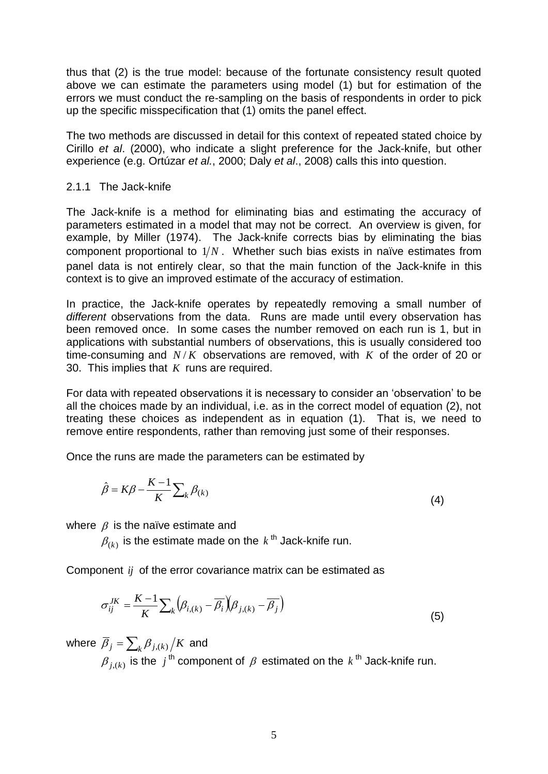thus that (2) is the true model: because of the fortunate consistency result quoted above we can estimate the parameters using model (1) but for estimation of the errors we must conduct the re-sampling on the basis of respondents in order to pick up the specific misspecification that (1) omits the panel effect.

The two methods are discussed in detail for this context of repeated stated choice by Cirillo *et al*. (2000), who indicate a slight preference for the Jack-knife, but other experience (e.g. Ortúzar *et al.*, 2000; Daly *et al*., 2008) calls this into question.

#### 2.1.1 The Jack-knife

The Jack-knife is a method for eliminating bias and estimating the accuracy of parameters estimated in a model that may not be correct. An overview is given, for example, by Miller (1974). The Jack-knife corrects bias by eliminating the bias component proportional to  $1/N$ . Whether such bias exists in naïve estimates from panel data is not entirely clear, so that the main function of the Jack-knife in this context is to give an improved estimate of the accuracy of estimation.

In practice, the Jack-knife operates by repeatedly removing a small number of *different* observations from the data. Runs are made until every observation has been removed once. In some cases the number removed on each run is 1, but in applications with substantial numbers of observations, this is usually considered too time-consuming and  $N/K$  observations are removed, with  $K$  of the order of 20 or 30. This implies that *K* runs are required.

For data with repeated observations it is necessary to consider an "observation" to be all the choices made by an individual, i.e. as in the correct model of equation (2), not treating these choices as independent as in equation (1). That is, we need to remove entire respondents, rather than removing just some of their responses.

Once the runs are made the parameters can be estimated by

$$
\hat{\beta} = K\beta - \frac{K-1}{K} \sum_{k} \beta_{(k)}
$$
\n(4)

where  $\beta$  is the naïve estimate and

 $\beta_{(k)}$  is the estimate made on the  $\,k^{\,\mathrm{th}}$  Jack-knife run.

Component *ij* of the error covariance matrix can be estimated as

$$
\sigma_{ij}^{JK} = \frac{K-1}{K} \sum_{k} \left( \beta_{i,(k)} - \overline{\beta_i} \right) \left( \beta_{j,(k)} - \overline{\beta_j} \right)
$$
\n(5)

where  $\overline{\beta}_j = \sum_k \beta_{j,(k)}/K$  and  $\beta_{j,(k)}$  is the  $j$ <sup>th</sup> component of  $\beta$  estimated on the  $k$  <sup>th</sup> Jack-knife run.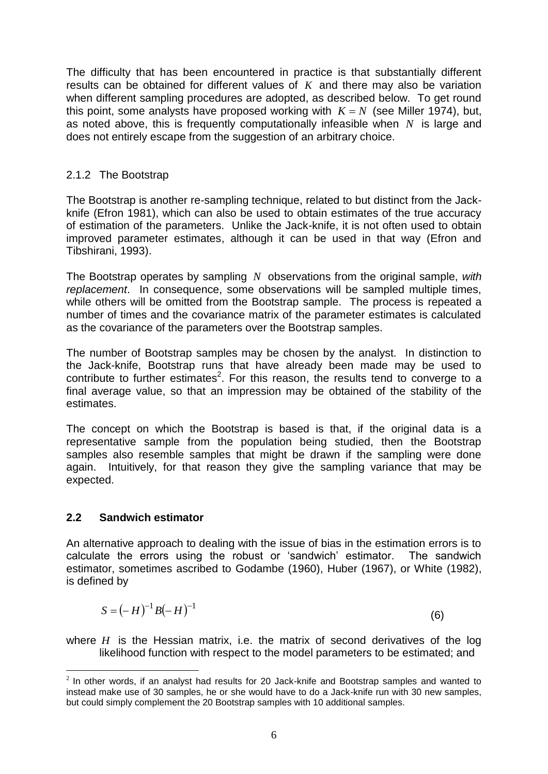The difficulty that has been encountered in practice is that substantially different results can be obtained for different values of  $K$  and there may also be variation when different sampling procedures are adopted, as described below. To get round this point, some analysts have proposed working with  $K = N$  (see Miller 1974), but, as noted above, this is frequently computationally infeasible when *N* is large and does not entirely escape from the suggestion of an arbitrary choice.

## 2.1.2 The Bootstrap

The Bootstrap is another re-sampling technique, related to but distinct from the Jackknife (Efron 1981), which can also be used to obtain estimates of the true accuracy of estimation of the parameters. Unlike the Jack-knife, it is not often used to obtain improved parameter estimates, although it can be used in that way (Efron and Tibshirani, 1993).

The Bootstrap operates by sampling *N* observations from the original sample, *with replacement*. In consequence, some observations will be sampled multiple times, while others will be omitted from the Bootstrap sample. The process is repeated a number of times and the covariance matrix of the parameter estimates is calculated as the covariance of the parameters over the Bootstrap samples.

The number of Bootstrap samples may be chosen by the analyst. In distinction to the Jack-knife, Bootstrap runs that have already been made may be used to contribute to further estimates<sup>2</sup>. For this reason, the results tend to converge to a final average value, so that an impression may be obtained of the stability of the estimates.

The concept on which the Bootstrap is based is that, if the original data is a representative sample from the population being studied, then the Bootstrap samples also resemble samples that might be drawn if the sampling were done again. Intuitively, for that reason they give the sampling variance that may be expected.

# **2.2 Sandwich estimator**

An alternative approach to dealing with the issue of bias in the estimation errors is to calculate the errors using the robust or "sandwich" estimator. The sandwich estimator, sometimes ascribed to Godambe (1960), Huber (1967), or White (1982), is defined by

$$
S = (-H)^{-1} B(-H)^{-1}
$$
 (6)

where  $H$  is the Hessian matrix, i.e. the matrix of second derivatives of the log likelihood function with respect to the model parameters to be estimated; and

<sup>&</sup>lt;u>.</u>  $2$  In other words, if an analyst had results for 20 Jack-knife and Bootstrap samples and wanted to instead make use of 30 samples, he or she would have to do a Jack-knife run with 30 new samples, but could simply complement the 20 Bootstrap samples with 10 additional samples.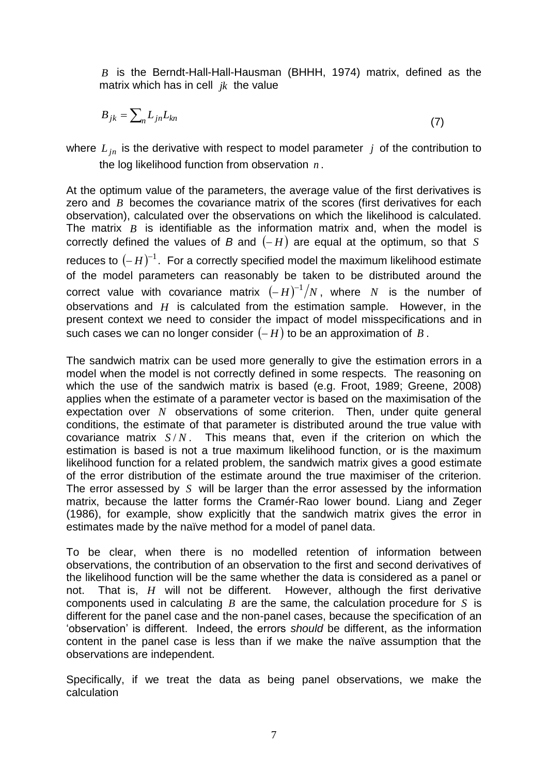*B* is the Berndt-Hall-Hall-Hausman (BHHH, 1974) matrix, defined as the matrix which has in cell *jk* the value

$$
B_{jk} = \sum_{n} L_{jn} L_{kn} \tag{7}
$$

where  $L_{jn}$  is the derivative with respect to model parameter j of the contribution to the log likelihood function from observation *n* .

At the optimum value of the parameters, the average value of the first derivatives is zero and *B* becomes the covariance matrix of the scores (first derivatives for each observation), calculated over the observations on which the likelihood is calculated. The matrix  $B$  is identifiable as the information matrix and, when the model is correctly defined the values of  $B$  and  $(-H)$  are equal at the optimum, so that  $S$ reduces to  $(-H)^{-1}$ . For a correctly specified model the maximum likelihood estimate of the model parameters can reasonably be taken to be distributed around the correct value with covariance matrix  $(-H)^{-1}/N$ , where N is the number of observations and *H* is calculated from the estimation sample. However, in the present context we need to consider the impact of model misspecifications and in such cases we can no longer consider  $(-H)$  to be an approximation of  $B$ .

The sandwich matrix can be used more generally to give the estimation errors in a model when the model is not correctly defined in some respects. The reasoning on which the use of the sandwich matrix is based (e.g. Froot, 1989; Greene, 2008) applies when the estimate of a parameter vector is based on the maximisation of the expectation over N observations of some criterion. Then, under quite general conditions, the estimate of that parameter is distributed around the true value with covariance matrix *S* / *N* . This means that, even if the criterion on which the estimation is based is not a true maximum likelihood function, or is the maximum likelihood function for a related problem, the sandwich matrix gives a good estimate of the error distribution of the estimate around the true maximiser of the criterion. The error assessed by S will be larger than the error assessed by the information matrix, because the latter forms the Cramér-Rao lower bound. Liang and Zeger (1986), for example, show explicitly that the sandwich matrix gives the error in estimates made by the naïve method for a model of panel data.

To be clear, when there is no modelled retention of information between observations, the contribution of an observation to the first and second derivatives of the likelihood function will be the same whether the data is considered as a panel or not. That is, *H* will not be different. However, although the first derivative components used in calculating  $B$  are the same, the calculation procedure for  $S$  is different for the panel case and the non-panel cases, because the specification of an "observation" is different. Indeed, the errors *should* be different, as the information content in the panel case is less than if we make the naïve assumption that the observations are independent.

Specifically, if we treat the data as being panel observations, we make the calculation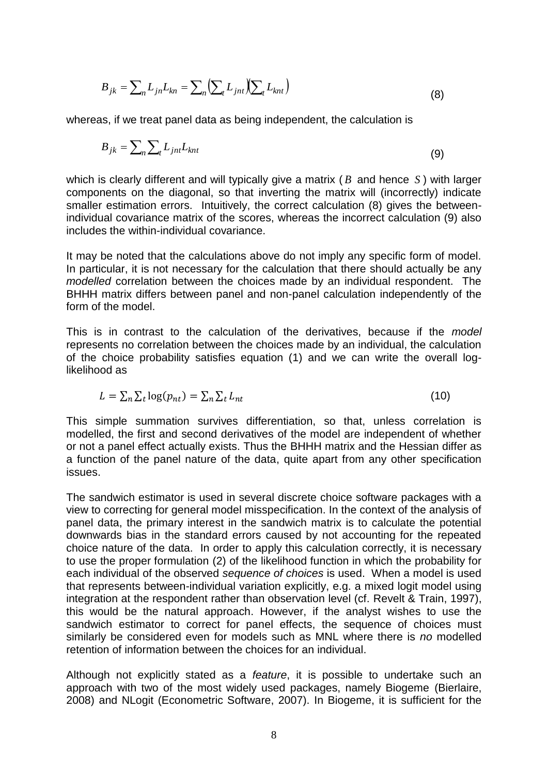$$
B_{jk} = \sum_{n} L_{jn} L_{kn} = \sum_{n} \left( \sum_{t} L_{jnt} \right) \left( \sum_{t} L_{knt} \right)
$$
\n(8)

whereas, if we treat panel data as being independent, the calculation is

$$
B_{jk} = \sum_{n} \sum_{t} L_{jnt} L_{knt} \tag{9}
$$

which is clearly different and will typically give a matrix ( *B* and hence *S* ) with larger components on the diagonal, so that inverting the matrix will (incorrectly) indicate smaller estimation errors. Intuitively, the correct calculation (8) gives the betweenindividual covariance matrix of the scores, whereas the incorrect calculation (9) also includes the within-individual covariance.

It may be noted that the calculations above do not imply any specific form of model. In particular, it is not necessary for the calculation that there should actually be any *modelled* correlation between the choices made by an individual respondent. The BHHH matrix differs between panel and non-panel calculation independently of the form of the model.

This is in contrast to the calculation of the derivatives, because if the *model* represents no correlation between the choices made by an individual, the calculation of the choice probability satisfies equation (1) and we can write the overall loglikelihood as

$$
L = \sum_{n} \sum_{t} \log(p_{nt}) = \sum_{n} \sum_{t} L_{nt} \tag{10}
$$

This simple summation survives differentiation, so that, unless correlation is modelled, the first and second derivatives of the model are independent of whether or not a panel effect actually exists. Thus the BHHH matrix and the Hessian differ as a function of the panel nature of the data, quite apart from any other specification issues.

The sandwich estimator is used in several discrete choice software packages with a view to correcting for general model misspecification. In the context of the analysis of panel data, the primary interest in the sandwich matrix is to calculate the potential downwards bias in the standard errors caused by not accounting for the repeated choice nature of the data. In order to apply this calculation correctly, it is necessary to use the proper formulation (2) of the likelihood function in which the probability for each individual of the observed *sequence of choices* is used. When a model is used that represents between-individual variation explicitly, e.g. a mixed logit model using integration at the respondent rather than observation level (cf. Revelt & Train, 1997), this would be the natural approach. However, if the analyst wishes to use the sandwich estimator to correct for panel effects, the sequence of choices must similarly be considered even for models such as MNL where there is *no* modelled retention of information between the choices for an individual.

Although not explicitly stated as a *feature*, it is possible to undertake such an approach with two of the most widely used packages, namely Biogeme (Bierlaire, 2008) and NLogit (Econometric Software, 2007). In Biogeme, it is sufficient for the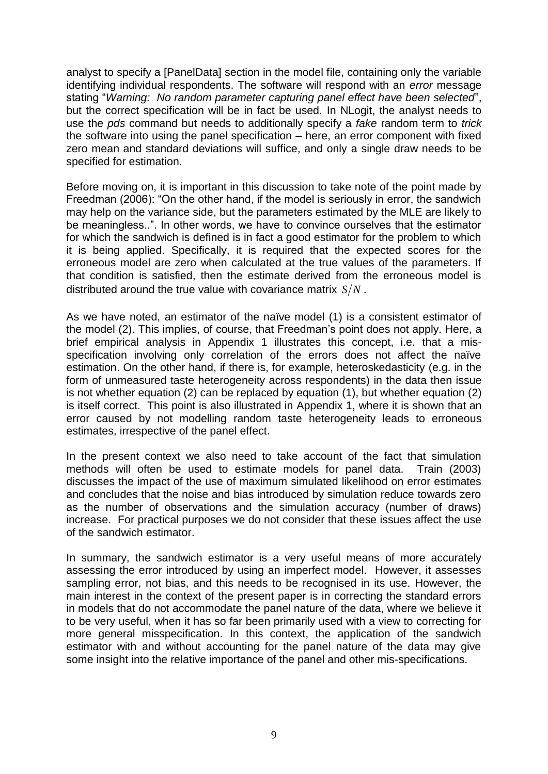analyst to specify a [PanelData] section in the model file, containing only the variable identifying individual respondents. The software will respond with an *error* message stating "*Warning: No random parameter capturing panel effect have been selected*", but the correct specification will be in fact be used. In NLogit, the analyst needs to use the *pds* command but needs to additionally specify a *fake* random term to *trick* the software into using the panel specification – here, an error component with fixed zero mean and standard deviations will suffice, and only a single draw needs to be specified for estimation.

Before moving on, it is important in this discussion to take note of the point made by Freedman (2006): "On the other hand, if the model is seriously in error, the sandwich may help on the variance side, but the parameters estimated by the MLE are likely to be meaningless..". In other words, we have to convince ourselves that the estimator for which the sandwich is defined is in fact a good estimator for the problem to which it is being applied. Specifically, it is required that the expected scores for the erroneous model are zero when calculated at the true values of the parameters. If that condition is satisfied, then the estimate derived from the erroneous model is distributed around the true value with covariance matrix  $S/N$ .

As we have noted, an estimator of the naïve model (1) is a consistent estimator of the model (2). This implies, of course, that Freedman"s point does not apply. Here, a brief empirical analysis in Appendix 1 illustrates this concept, i.e. that a misspecification involving only correlation of the errors does not affect the naïve estimation. On the other hand, if there is, for example, heteroskedasticity (e.g. in the form of unmeasured taste heterogeneity across respondents) in the data then issue is not whether equation (2) can be replaced by equation (1), but whether equation (2) is itself correct. This point is also illustrated in Appendix 1, where it is shown that an error caused by not modelling random taste heterogeneity leads to erroneous estimates, irrespective of the panel effect.

In the present context we also need to take account of the fact that simulation methods will often be used to estimate models for panel data. Train (2003) discusses the impact of the use of maximum simulated likelihood on error estimates and concludes that the noise and bias introduced by simulation reduce towards zero as the number of observations and the simulation accuracy (number of draws) increase. For practical purposes we do not consider that these issues affect the use of the sandwich estimator.

In summary, the sandwich estimator is a very useful means of more accurately assessing the error introduced by using an imperfect model. However, it assesses sampling error, not bias, and this needs to be recognised in its use. However, the main interest in the context of the present paper is in correcting the standard errors in models that do not accommodate the panel nature of the data, where we believe it to be very useful, when it has so far been primarily used with a view to correcting for more general misspecification. In this context, the application of the sandwich estimator with and without accounting for the panel nature of the data may give some insight into the relative importance of the panel and other mis-specifications.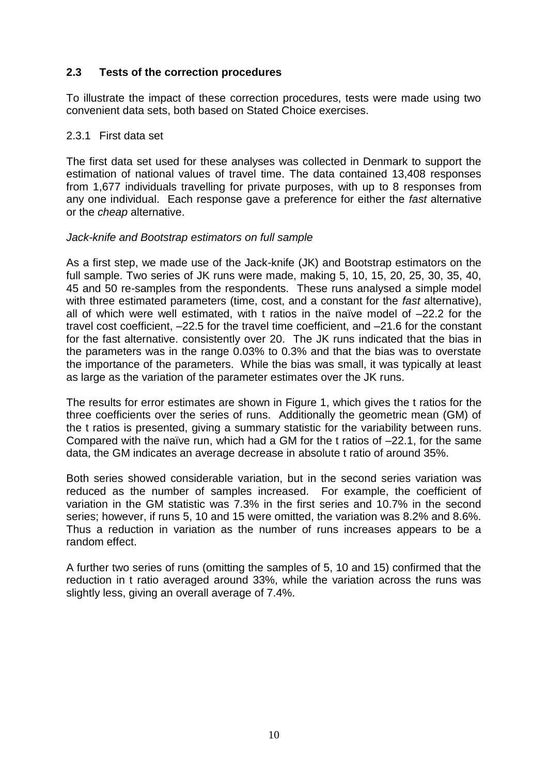## **2.3 Tests of the correction procedures**

To illustrate the impact of these correction procedures, tests were made using two convenient data sets, both based on Stated Choice exercises.

#### 2.3.1 First data set

The first data set used for these analyses was collected in Denmark to support the estimation of national values of travel time. The data contained 13,408 responses from 1,677 individuals travelling for private purposes, with up to 8 responses from any one individual. Each response gave a preference for either the *fast* alternative or the *cheap* alternative.

#### *Jack-knife and Bootstrap estimators on full sample*

As a first step, we made use of the Jack-knife (JK) and Bootstrap estimators on the full sample. Two series of JK runs were made, making 5, 10, 15, 20, 25, 30, 35, 40, 45 and 50 re-samples from the respondents. These runs analysed a simple model with three estimated parameters (time, cost, and a constant for the *fast* alternative), all of which were well estimated, with t ratios in the naïve model of –22.2 for the travel cost coefficient, –22.5 for the travel time coefficient, and –21.6 for the constant for the fast alternative. consistently over 20. The JK runs indicated that the bias in the parameters was in the range 0.03% to 0.3% and that the bias was to overstate the importance of the parameters. While the bias was small, it was typically at least as large as the variation of the parameter estimates over the JK runs.

The results for error estimates are shown in Figure 1, which gives the t ratios for the three coefficients over the series of runs. Additionally the geometric mean (GM) of the t ratios is presented, giving a summary statistic for the variability between runs. Compared with the naïve run, which had a GM for the t ratios of –22.1, for the same data, the GM indicates an average decrease in absolute t ratio of around 35%.

Both series showed considerable variation, but in the second series variation was reduced as the number of samples increased. For example, the coefficient of variation in the GM statistic was 7.3% in the first series and 10.7% in the second series; however, if runs 5, 10 and 15 were omitted, the variation was 8.2% and 8.6%. Thus a reduction in variation as the number of runs increases appears to be a random effect.

A further two series of runs (omitting the samples of 5, 10 and 15) confirmed that the reduction in t ratio averaged around 33%, while the variation across the runs was slightly less, giving an overall average of 7.4%.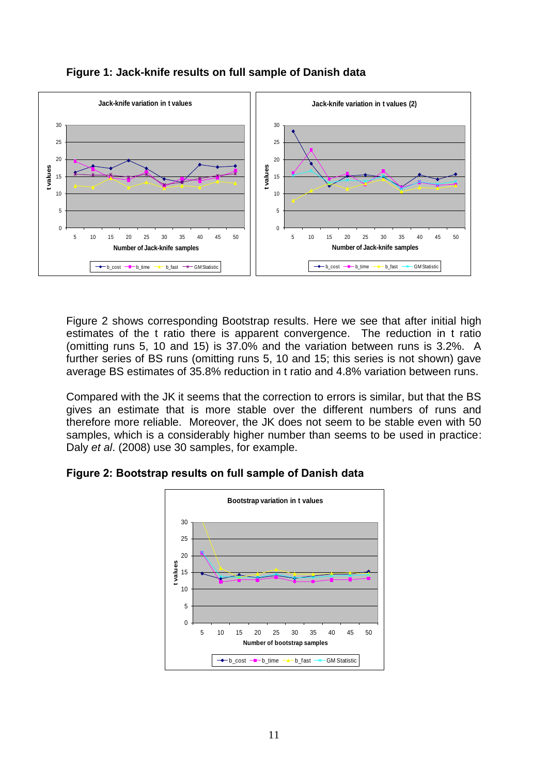

## **Figure 1: Jack-knife results on full sample of Danish data**

Figure 2 shows corresponding Bootstrap results. Here we see that after initial high estimates of the t ratio there is apparent convergence. The reduction in t ratio (omitting runs 5, 10 and 15) is 37.0% and the variation between runs is 3.2%. A further series of BS runs (omitting runs 5, 10 and 15; this series is not shown) gave average BS estimates of 35.8% reduction in t ratio and 4.8% variation between runs.

Compared with the JK it seems that the correction to errors is similar, but that the BS gives an estimate that is more stable over the different numbers of runs and therefore more reliable. Moreover, the JK does not seem to be stable even with 50 samples, which is a considerably higher number than seems to be used in practice: Daly *et al*. (2008) use 30 samples, for example.



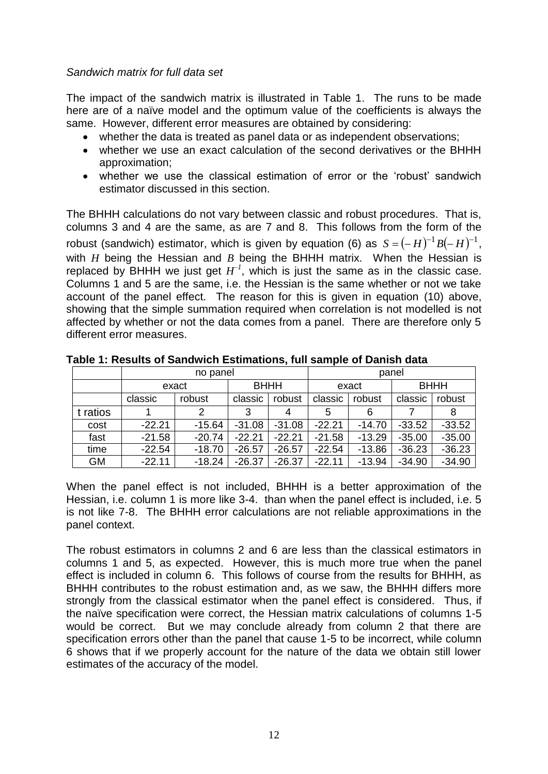## *Sandwich matrix for full data set*

The impact of the sandwich matrix is illustrated in Table 1. The runs to be made here are of a naïve model and the optimum value of the coefficients is always the same. However, different error measures are obtained by considering:

- whether the data is treated as panel data or as independent observations;
- whether we use an exact calculation of the second derivatives or the BHHH approximation;
- whether we use the classical estimation of error or the "robust" sandwich estimator discussed in this section.

The BHHH calculations do not vary between classic and robust procedures. That is, columns 3 and 4 are the same, as are 7 and 8. This follows from the form of the robust (sandwich) estimator, which is given by equation (6) as  $S = (-H)^{-1}B(-H)^{-1}$ , with *H* being the Hessian and *B* being the BHHH matrix. When the Hessian is replaced by BHHH we just get  $H^{-1}$ , which is just the same as in the classic case. Columns 1 and 5 are the same, i.e. the Hessian is the same whether or not we take account of the panel effect. The reason for this is given in equation (10) above, showing that the simple summation required when correlation is not modelled is not affected by whether or not the data comes from a panel. There are therefore only 5 different error measures.

|           | no panel |          |             | panel    |          |          |             |          |
|-----------|----------|----------|-------------|----------|----------|----------|-------------|----------|
|           | exact    |          | <b>BHHH</b> |          | exact    |          | <b>BHHH</b> |          |
|           | classic  | robust   | classic     | robust   | classic  | robust   | classic     | robust   |
| t ratios  |          | 2        | 3           | 4        | 5        | 6        |             | 8        |
| cost      | $-22.21$ | $-15.64$ | $-31.08$    | $-31.08$ | $-22.21$ | $-14.70$ | $-33.52$    | $-33.52$ |
| fast      | $-21.58$ | $-20.74$ | $-22.21$    | $-22.21$ | $-21.58$ | $-13.29$ | $-35.00$    | $-35.00$ |
| time      | $-22.54$ | $-18.70$ | $-26.57$    | $-26.57$ | $-22.54$ | $-13.86$ | $-36.23$    | $-36.23$ |
| <b>GM</b> | $-22.11$ | $-18.24$ | $-26.37$    | $-26.37$ | $-22.11$ | $-13.94$ | $-34.90$    | $-34.90$ |

**Table 1: Results of Sandwich Estimations, full sample of Danish data**

When the panel effect is not included, BHHH is a better approximation of the Hessian, i.e. column 1 is more like 3-4. than when the panel effect is included, i.e. 5 is not like 7-8. The BHHH error calculations are not reliable approximations in the panel context.

The robust estimators in columns 2 and 6 are less than the classical estimators in columns 1 and 5, as expected. However, this is much more true when the panel effect is included in column 6. This follows of course from the results for BHHH, as BHHH contributes to the robust estimation and, as we saw, the BHHH differs more strongly from the classical estimator when the panel effect is considered. Thus, if the naïve specification were correct, the Hessian matrix calculations of columns 1-5 would be correct. But we may conclude already from column 2 that there are specification errors other than the panel that cause 1-5 to be incorrect, while column 6 shows that if we properly account for the nature of the data we obtain still lower estimates of the accuracy of the model.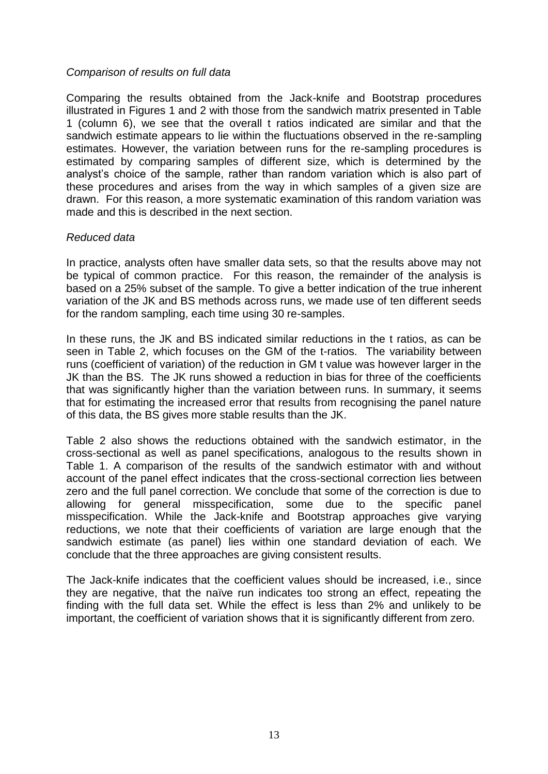#### *Comparison of results on full data*

Comparing the results obtained from the Jack-knife and Bootstrap procedures illustrated in Figures 1 and 2 with those from the sandwich matrix presented in Table 1 (column 6), we see that the overall t ratios indicated are similar and that the sandwich estimate appears to lie within the fluctuations observed in the re-sampling estimates. However, the variation between runs for the re-sampling procedures is estimated by comparing samples of different size, which is determined by the analyst"s choice of the sample, rather than random variation which is also part of these procedures and arises from the way in which samples of a given size are drawn. For this reason, a more systematic examination of this random variation was made and this is described in the next section.

#### *Reduced data*

In practice, analysts often have smaller data sets, so that the results above may not be typical of common practice. For this reason, the remainder of the analysis is based on a 25% subset of the sample. To give a better indication of the true inherent variation of the JK and BS methods across runs, we made use of ten different seeds for the random sampling, each time using 30 re-samples.

In these runs, the JK and BS indicated similar reductions in the t ratios, as can be seen in Table 2, which focuses on the GM of the t-ratios. The variability between runs (coefficient of variation) of the reduction in GM t value was however larger in the JK than the BS. The JK runs showed a reduction in bias for three of the coefficients that was significantly higher than the variation between runs. In summary, it seems that for estimating the increased error that results from recognising the panel nature of this data, the BS gives more stable results than the JK.

Table 2 also shows the reductions obtained with the sandwich estimator, in the cross-sectional as well as panel specifications, analogous to the results shown in Table 1. A comparison of the results of the sandwich estimator with and without account of the panel effect indicates that the cross-sectional correction lies between zero and the full panel correction. We conclude that some of the correction is due to allowing for general misspecification, some due to the specific panel misspecification. While the Jack-knife and Bootstrap approaches give varying reductions, we note that their coefficients of variation are large enough that the sandwich estimate (as panel) lies within one standard deviation of each. We conclude that the three approaches are giving consistent results.

The Jack-knife indicates that the coefficient values should be increased, i.e., since they are negative, that the naïve run indicates too strong an effect, repeating the finding with the full data set. While the effect is less than 2% and unlikely to be important, the coefficient of variation shows that it is significantly different from zero.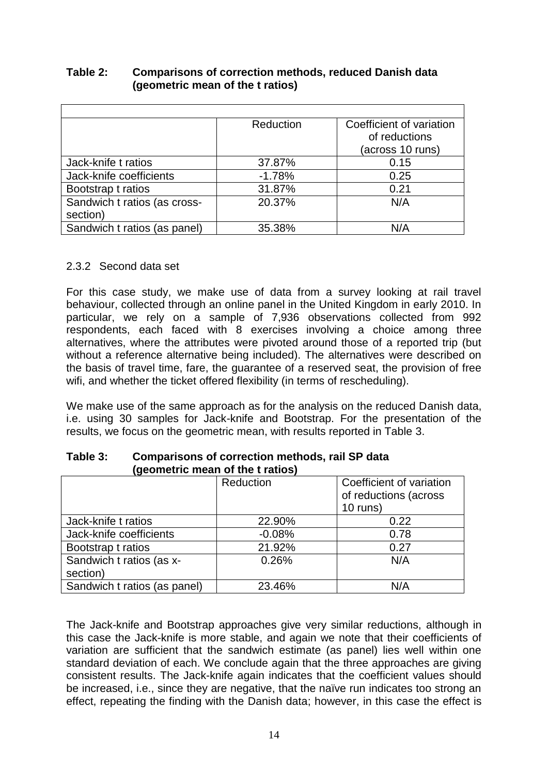|                              | Reduction | Coefficient of variation |
|------------------------------|-----------|--------------------------|
|                              |           | of reductions            |
|                              |           | (across 10 runs)         |
| Jack-knife t ratios          | 37.87%    | 0.15                     |
| Jack-knife coefficients      | $-1.78%$  | 0.25                     |
| Bootstrap t ratios           | 31.87%    | 0.21                     |
| Sandwich t ratios (as cross- | 20.37%    | N/A                      |
| section)                     |           |                          |
| Sandwich t ratios (as panel) | 35.38%    | N/A                      |

## **Table 2: Comparisons of correction methods, reduced Danish data (geometric mean of the t ratios)**

## 2.3.2 Second data set

For this case study, we make use of data from a survey looking at rail travel behaviour, collected through an online panel in the United Kingdom in early 2010. In particular, we rely on a sample of 7,936 observations collected from 992 respondents, each faced with 8 exercises involving a choice among three alternatives, where the attributes were pivoted around those of a reported trip (but without a reference alternative being included). The alternatives were described on the basis of travel time, fare, the guarantee of a reserved seat, the provision of free wifi, and whether the ticket offered flexibility (in terms of rescheduling).

We make use of the same approach as for the analysis on the reduced Danish data, i.e. using 30 samples for Jack-knife and Bootstrap. For the presentation of the results, we focus on the geometric mean, with results reported in Table 3.

| (900oo o o. oorg             |           |                                                   |  |  |  |
|------------------------------|-----------|---------------------------------------------------|--|--|--|
|                              | Reduction | Coefficient of variation<br>of reductions (across |  |  |  |
|                              |           | $10$ runs)                                        |  |  |  |
| Jack-knife t ratios          | 22.90%    | 0.22                                              |  |  |  |
| Jack-knife coefficients      | $-0.08%$  | 0.78                                              |  |  |  |
| Bootstrap t ratios           | 21.92%    | 0.27                                              |  |  |  |
| Sandwich t ratios (as x-     | 0.26%     | N/A                                               |  |  |  |
| section)                     |           |                                                   |  |  |  |
| Sandwich t ratios (as panel) | 23.46%    | N/A                                               |  |  |  |

#### **Table 3: Comparisons of correction methods, rail SP data (geometric mean of the t ratios)**

The Jack-knife and Bootstrap approaches give very similar reductions, although in this case the Jack-knife is more stable, and again we note that their coefficients of variation are sufficient that the sandwich estimate (as panel) lies well within one standard deviation of each. We conclude again that the three approaches are giving consistent results. The Jack-knife again indicates that the coefficient values should be increased, i.e., since they are negative, that the naïve run indicates too strong an effect, repeating the finding with the Danish data; however, in this case the effect is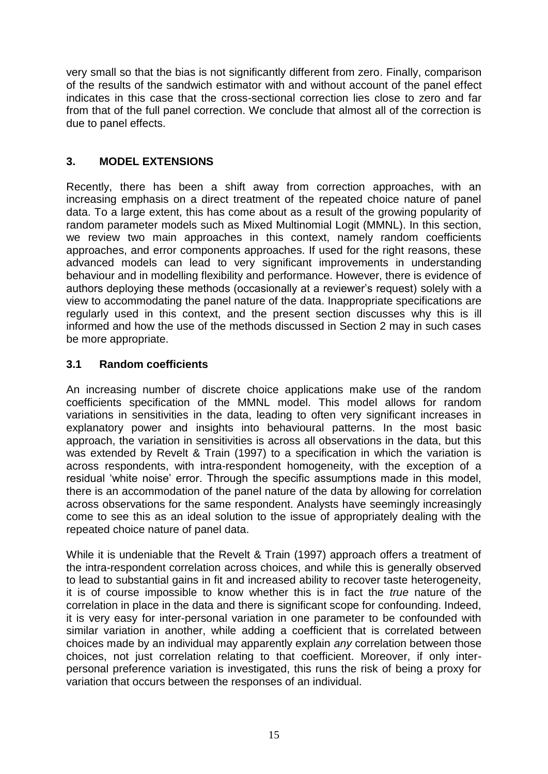very small so that the bias is not significantly different from zero. Finally, comparison of the results of the sandwich estimator with and without account of the panel effect indicates in this case that the cross-sectional correction lies close to zero and far from that of the full panel correction. We conclude that almost all of the correction is due to panel effects.

# **3. MODEL EXTENSIONS**

Recently, there has been a shift away from correction approaches, with an increasing emphasis on a direct treatment of the repeated choice nature of panel data. To a large extent, this has come about as a result of the growing popularity of random parameter models such as Mixed Multinomial Logit (MMNL). In this section, we review two main approaches in this context, namely random coefficients approaches, and error components approaches. If used for the right reasons, these advanced models can lead to very significant improvements in understanding behaviour and in modelling flexibility and performance. However, there is evidence of authors deploying these methods (occasionally at a reviewer"s request) solely with a view to accommodating the panel nature of the data. Inappropriate specifications are regularly used in this context, and the present section discusses why this is ill informed and how the use of the methods discussed in Section 2 may in such cases be more appropriate.

# **3.1 Random coefficients**

An increasing number of discrete choice applications make use of the random coefficients specification of the MMNL model. This model allows for random variations in sensitivities in the data, leading to often very significant increases in explanatory power and insights into behavioural patterns. In the most basic approach, the variation in sensitivities is across all observations in the data, but this was extended by Revelt & Train (1997) to a specification in which the variation is across respondents, with intra-respondent homogeneity, with the exception of a residual "white noise" error. Through the specific assumptions made in this model, there is an accommodation of the panel nature of the data by allowing for correlation across observations for the same respondent. Analysts have seemingly increasingly come to see this as an ideal solution to the issue of appropriately dealing with the repeated choice nature of panel data.

While it is undeniable that the Revelt & Train (1997) approach offers a treatment of the intra-respondent correlation across choices, and while this is generally observed to lead to substantial gains in fit and increased ability to recover taste heterogeneity, it is of course impossible to know whether this is in fact the *true* nature of the correlation in place in the data and there is significant scope for confounding. Indeed, it is very easy for inter-personal variation in one parameter to be confounded with similar variation in another, while adding a coefficient that is correlated between choices made by an individual may apparently explain *any* correlation between those choices, not just correlation relating to that coefficient. Moreover, if only interpersonal preference variation is investigated, this runs the risk of being a proxy for variation that occurs between the responses of an individual.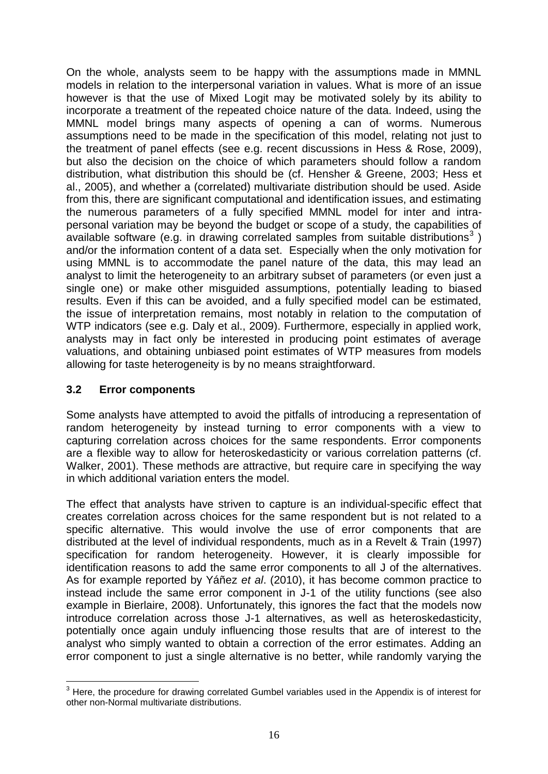On the whole, analysts seem to be happy with the assumptions made in MMNL models in relation to the interpersonal variation in values. What is more of an issue however is that the use of Mixed Logit may be motivated solely by its ability to incorporate a treatment of the repeated choice nature of the data. Indeed, using the MMNL model brings many aspects of opening a can of worms. Numerous assumptions need to be made in the specification of this model, relating not just to the treatment of panel effects (see e.g. recent discussions in Hess & Rose, 2009), but also the decision on the choice of which parameters should follow a random distribution, what distribution this should be (cf. Hensher & Greene, 2003; Hess et al., 2005), and whether a (correlated) multivariate distribution should be used. Aside from this, there are significant computational and identification issues, and estimating the numerous parameters of a fully specified MMNL model for inter and intrapersonal variation may be beyond the budget or scope of a study, the capabilities of available software (e.g. in drawing correlated samples from suitable distributions<sup>3</sup>) and/or the information content of a data set. Especially when the only motivation for using MMNL is to accommodate the panel nature of the data, this may lead an analyst to limit the heterogeneity to an arbitrary subset of parameters (or even just a single one) or make other misguided assumptions, potentially leading to biased results. Even if this can be avoided, and a fully specified model can be estimated, the issue of interpretation remains, most notably in relation to the computation of WTP indicators (see e.g. Daly et al., 2009). Furthermore, especially in applied work, analysts may in fact only be interested in producing point estimates of average valuations, and obtaining unbiased point estimates of WTP measures from models allowing for taste heterogeneity is by no means straightforward.

## **3.2 Error components**

1

Some analysts have attempted to avoid the pitfalls of introducing a representation of random heterogeneity by instead turning to error components with a view to capturing correlation across choices for the same respondents. Error components are a flexible way to allow for heteroskedasticity or various correlation patterns (cf. Walker, 2001). These methods are attractive, but require care in specifying the way in which additional variation enters the model.

The effect that analysts have striven to capture is an individual-specific effect that creates correlation across choices for the same respondent but is not related to a specific alternative. This would involve the use of error components that are distributed at the level of individual respondents, much as in a Revelt & Train (1997) specification for random heterogeneity. However, it is clearly impossible for identification reasons to add the same error components to all J of the alternatives. As for example reported by Yáñez *et al*. (2010), it has become common practice to instead include the same error component in J-1 of the utility functions (see also example in Bierlaire, 2008). Unfortunately, this ignores the fact that the models now introduce correlation across those J-1 alternatives, as well as heteroskedasticity, potentially once again unduly influencing those results that are of interest to the analyst who simply wanted to obtain a correction of the error estimates. Adding an error component to just a single alternative is no better, while randomly varying the

<sup>&</sup>lt;sup>3</sup> Here, the procedure for drawing correlated Gumbel variables used in the Appendix is of interest for other non-Normal multivariate distributions.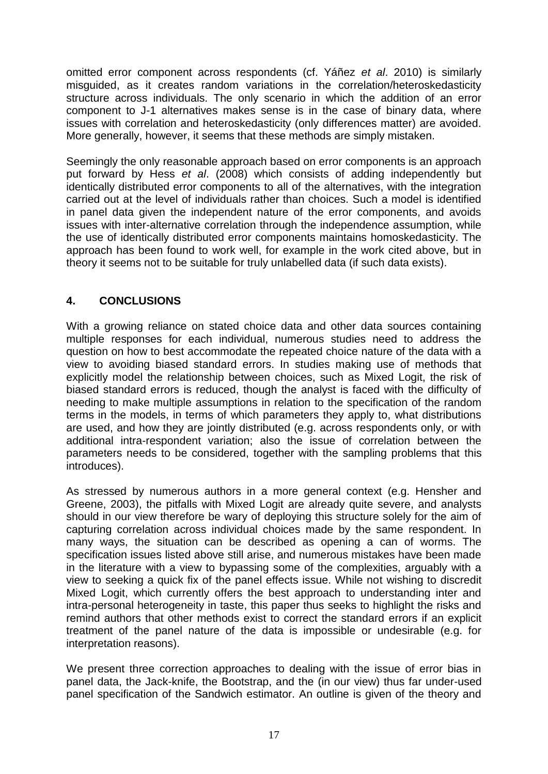omitted error component across respondents (cf. Yáñez *et al*. 2010) is similarly misguided, as it creates random variations in the correlation/heteroskedasticity structure across individuals. The only scenario in which the addition of an error component to J-1 alternatives makes sense is in the case of binary data, where issues with correlation and heteroskedasticity (only differences matter) are avoided. More generally, however, it seems that these methods are simply mistaken.

Seemingly the only reasonable approach based on error components is an approach put forward by Hess *et al*. (2008) which consists of adding independently but identically distributed error components to all of the alternatives, with the integration carried out at the level of individuals rather than choices. Such a model is identified in panel data given the independent nature of the error components, and avoids issues with inter-alternative correlation through the independence assumption, while the use of identically distributed error components maintains homoskedasticity. The approach has been found to work well, for example in the work cited above, but in theory it seems not to be suitable for truly unlabelled data (if such data exists).

# **4. CONCLUSIONS**

With a growing reliance on stated choice data and other data sources containing multiple responses for each individual, numerous studies need to address the question on how to best accommodate the repeated choice nature of the data with a view to avoiding biased standard errors. In studies making use of methods that explicitly model the relationship between choices, such as Mixed Logit, the risk of biased standard errors is reduced, though the analyst is faced with the difficulty of needing to make multiple assumptions in relation to the specification of the random terms in the models, in terms of which parameters they apply to, what distributions are used, and how they are jointly distributed (e.g. across respondents only, or with additional intra-respondent variation; also the issue of correlation between the parameters needs to be considered, together with the sampling problems that this introduces).

As stressed by numerous authors in a more general context (e.g. Hensher and Greene, 2003), the pitfalls with Mixed Logit are already quite severe, and analysts should in our view therefore be wary of deploying this structure solely for the aim of capturing correlation across individual choices made by the same respondent. In many ways, the situation can be described as opening a can of worms. The specification issues listed above still arise, and numerous mistakes have been made in the literature with a view to bypassing some of the complexities, arguably with a view to seeking a quick fix of the panel effects issue. While not wishing to discredit Mixed Logit, which currently offers the best approach to understanding inter and intra-personal heterogeneity in taste, this paper thus seeks to highlight the risks and remind authors that other methods exist to correct the standard errors if an explicit treatment of the panel nature of the data is impossible or undesirable (e.g. for interpretation reasons).

We present three correction approaches to dealing with the issue of error bias in panel data, the Jack-knife, the Bootstrap, and the (in our view) thus far under-used panel specification of the Sandwich estimator. An outline is given of the theory and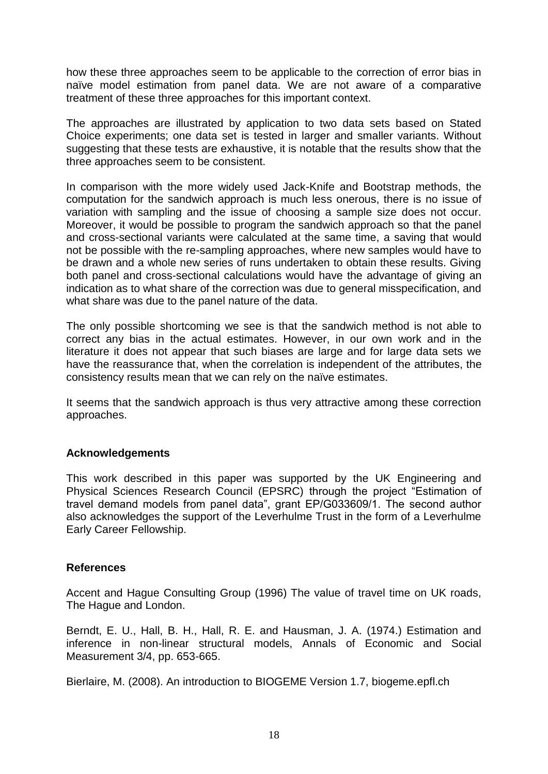how these three approaches seem to be applicable to the correction of error bias in naïve model estimation from panel data. We are not aware of a comparative treatment of these three approaches for this important context.

The approaches are illustrated by application to two data sets based on Stated Choice experiments; one data set is tested in larger and smaller variants. Without suggesting that these tests are exhaustive, it is notable that the results show that the three approaches seem to be consistent.

In comparison with the more widely used Jack-Knife and Bootstrap methods, the computation for the sandwich approach is much less onerous, there is no issue of variation with sampling and the issue of choosing a sample size does not occur. Moreover, it would be possible to program the sandwich approach so that the panel and cross-sectional variants were calculated at the same time, a saving that would not be possible with the re-sampling approaches, where new samples would have to be drawn and a whole new series of runs undertaken to obtain these results. Giving both panel and cross-sectional calculations would have the advantage of giving an indication as to what share of the correction was due to general misspecification, and what share was due to the panel nature of the data.

The only possible shortcoming we see is that the sandwich method is not able to correct any bias in the actual estimates. However, in our own work and in the literature it does not appear that such biases are large and for large data sets we have the reassurance that, when the correlation is independent of the attributes, the consistency results mean that we can rely on the naïve estimates.

It seems that the sandwich approach is thus very attractive among these correction approaches.

## **Acknowledgements**

This work described in this paper was supported by the UK Engineering and Physical Sciences Research Council (EPSRC) through the project "Estimation of travel demand models from panel data", grant EP/G033609/1. The second author also acknowledges the support of the Leverhulme Trust in the form of a Leverhulme Early Career Fellowship.

## **References**

Accent and Hague Consulting Group (1996) The value of travel time on UK roads, The Hague and London.

Berndt, E. U., Hall, B. H., Hall, R. E. and Hausman, J. A. (1974.) Estimation and inference in non-linear structural models, Annals of Economic and Social Measurement 3/4, pp. 653-665.

Bierlaire, M. (2008). An introduction to BIOGEME Version 1.7, biogeme.epfl.ch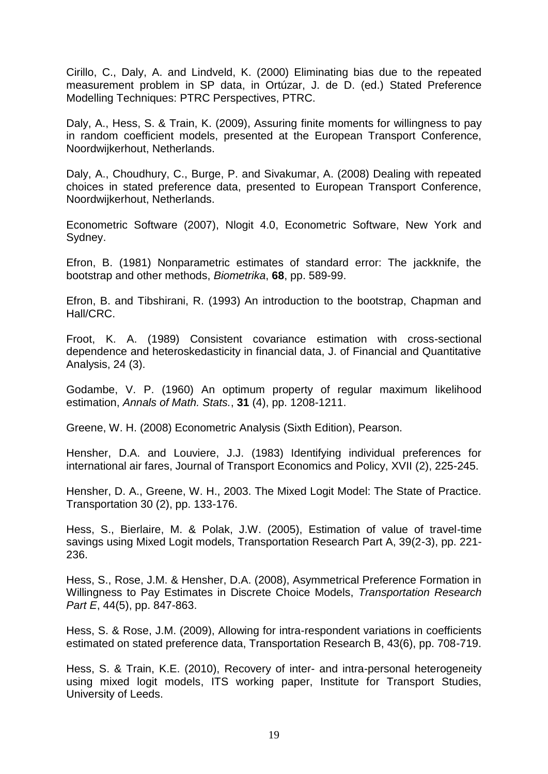Cirillo, C., Daly, A. and Lindveld, K. (2000) Eliminating bias due to the repeated measurement problem in SP data, in Ortúzar, J. de D. (ed.) Stated Preference Modelling Techniques: PTRC Perspectives, PTRC.

Daly, A., Hess, S. & Train, K. (2009), Assuring finite moments for willingness to pay in random coefficient models, presented at the European Transport Conference, Noordwijkerhout, Netherlands.

Daly, A., Choudhury, C., Burge, P. and Sivakumar, A. (2008) Dealing with repeated choices in stated preference data, presented to European Transport Conference, Noordwijkerhout, Netherlands.

Econometric Software (2007), Nlogit 4.0, Econometric Software, New York and Sydney.

Efron, B. (1981) Nonparametric estimates of standard error: The jackknife, the bootstrap and other methods, *Biometrika*, **68**, pp. 589-99.

Efron, B. and Tibshirani, R. (1993) An introduction to the bootstrap, Chapman and Hall/CRC.

Froot, K. A. (1989) Consistent covariance estimation with cross-sectional dependence and heteroskedasticity in financial data, J. of Financial and Quantitative Analysis, 24 (3).

Godambe, V. P. (1960) An optimum property of regular maximum likelihood estimation, *Annals of Math. Stats.*, **31** (4), pp. 1208-1211.

Greene, W. H. (2008) Econometric Analysis (Sixth Edition), Pearson.

Hensher, D.A. and Louviere, J.J. (1983) Identifying individual preferences for international air fares, Journal of Transport Economics and Policy, XVII (2), 225-245.

Hensher, D. A., Greene, W. H., 2003. The Mixed Logit Model: The State of Practice. Transportation 30 (2), pp. 133-176.

Hess, S., Bierlaire, M. & Polak, J.W. (2005), Estimation of value of travel-time savings using Mixed Logit models, Transportation Research Part A, 39(2-3), pp. 221- 236.

Hess, S., Rose, J.M. & Hensher, D.A. (2008), Asymmetrical Preference Formation in Willingness to Pay Estimates in Discrete Choice Models, *Transportation Research Part E*, 44(5), pp. 847-863.

Hess, S. & Rose, J.M. (2009), Allowing for intra-respondent variations in coefficients estimated on stated preference data, Transportation Research B, 43(6), pp. 708-719.

Hess, S. & Train, K.E. (2010), Recovery of inter- and intra-personal heterogeneity using mixed logit models, ITS working paper, Institute for Transport Studies, University of Leeds.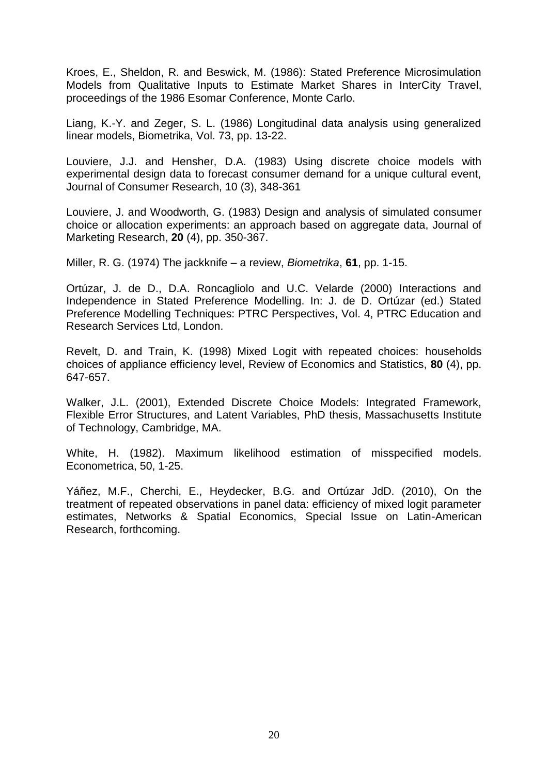Kroes, E., Sheldon, R. and Beswick, M. (1986): Stated Preference Microsimulation Models from Qualitative Inputs to Estimate Market Shares in InterCity Travel, proceedings of the 1986 Esomar Conference, Monte Carlo.

Liang, K.-Y. and Zeger, S. L. (1986) Longitudinal data analysis using generalized linear models, Biometrika, Vol. 73, pp. 13-22.

Louviere, J.J. and Hensher, D.A. (1983) Using discrete choice models with experimental design data to forecast consumer demand for a unique cultural event, Journal of Consumer Research, 10 (3), 348-361

Louviere, J. and Woodworth, G. (1983) Design and analysis of simulated consumer choice or allocation experiments: an approach based on aggregate data, Journal of Marketing Research, **20** (4), pp. 350-367.

Miller, R. G. (1974) The jackknife – a review, *Biometrika*, **61**, pp. 1-15.

Ortúzar, J. de D., D.A. Roncagliolo and U.C. Velarde (2000) Interactions and Independence in Stated Preference Modelling. In: J. de D. Ortúzar (ed.) Stated Preference Modelling Techniques: PTRC Perspectives, Vol. 4, PTRC Education and Research Services Ltd, London.

Revelt, D. and Train, K. (1998) Mixed Logit with repeated choices: households choices of appliance efficiency level, Review of Economics and Statistics, **80** (4), pp. 647-657.

Walker, J.L. (2001), Extended Discrete Choice Models: Integrated Framework, Flexible Error Structures, and Latent Variables, PhD thesis, Massachusetts Institute of Technology, Cambridge, MA.

White, H. (1982). Maximum likelihood estimation of misspecified models. Econometrica, 50, 1-25.

Yáñez, M.F., Cherchi, E., Heydecker, B.G. and Ortúzar JdD. (2010), On the treatment of repeated observations in panel data: efficiency of mixed logit parameter estimates, Networks & Spatial Economics, Special Issue on Latin-American Research, forthcoming.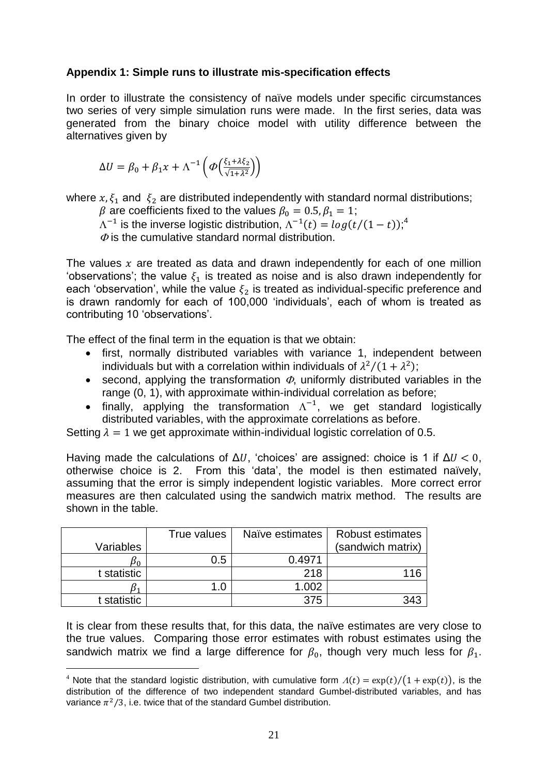## **Appendix 1: Simple runs to illustrate mis-specification effects**

In order to illustrate the consistency of naïve models under specific circumstances two series of very simple simulation runs were made. In the first series, data was generated from the binary choice model with utility difference between the alternatives given by

$$
\Delta U = \beta_0 + \beta_1 x + \Lambda^{-1} \left( \varPhi \left( \frac{\xi_1 + \lambda \xi_2}{\sqrt{1 + \lambda^2}} \right) \right)
$$

where  $x, \xi_1$  and  $\xi_2$  are distributed independently with standard normal distributions;

 $\beta$  are coefficients fixed to the values  $\beta_0 = 0.5, \beta_1 = 1;$ 

 $\Lambda^{-1}$  is the inverse logistic distribution,  $\Lambda^{-1}(t) = log(t/(1-t))$ ;<sup>4</sup>

 $\Phi$  is the cumulative standard normal distribution.

The values  $x$  are treated as data and drawn independently for each of one million 'observations'; the value  $\xi_1$  is treated as noise and is also drawn independently for each 'observation', while the value  $\xi_2$  is treated as individual-specific preference and is drawn randomly for each of 100,000 "individuals", each of whom is treated as contributing 10 'observations'.

The effect of the final term in the equation is that we obtain:

- first, normally distributed variables with variance 1, independent between individuals but with a correlation within individuals of  $\lambda^2/(1+\lambda^2)$ ;
- second, applying the transformation  $\Phi$ , uniformly distributed variables in the range (0, 1), with approximate within-individual correlation as before;
- finally, applying the transformation  $\Lambda^{-1}$ , we get standard logistically distributed variables, with the approximate correlations as before.

Setting  $\lambda = 1$  we get approximate within-individual logistic correlation of 0.5.

Having made the calculations of  $\Delta U$ , 'choices' are assigned: choice is 1 if  $\Delta U < 0$ , otherwise choice is 2. From this "data", the model is then estimated naïvely, assuming that the error is simply independent logistic variables. More correct error measures are then calculated using the sandwich matrix method. The results are shown in the table.

| Variables   | True values | Naïve estimates | <b>Robust estimates</b><br>(sandwich matrix) |
|-------------|-------------|-----------------|----------------------------------------------|
| Pn          | 0.5         | 0.4971          |                                              |
| t statistic |             | 218             | 116                                          |
| B١          | .C          | 1.002           |                                              |
| t statistic |             | 375             | 343                                          |

<u>.</u>

It is clear from these results that, for this data, the naïve estimates are very close to the true values. Comparing those error estimates with robust estimates using the sandwich matrix we find a large difference for  $\beta_0$ , though very much less for  $\beta_1$ .

<sup>&</sup>lt;sup>4</sup> Note that the standard logistic distribution, with cumulative form  $A(t) = \exp(t)/(1 + \exp(t))$ , is the distribution of the difference of two independent standard Gumbel-distributed variables, and has variance  $\pi^2/3$ , i.e. twice that of the standard Gumbel distribution.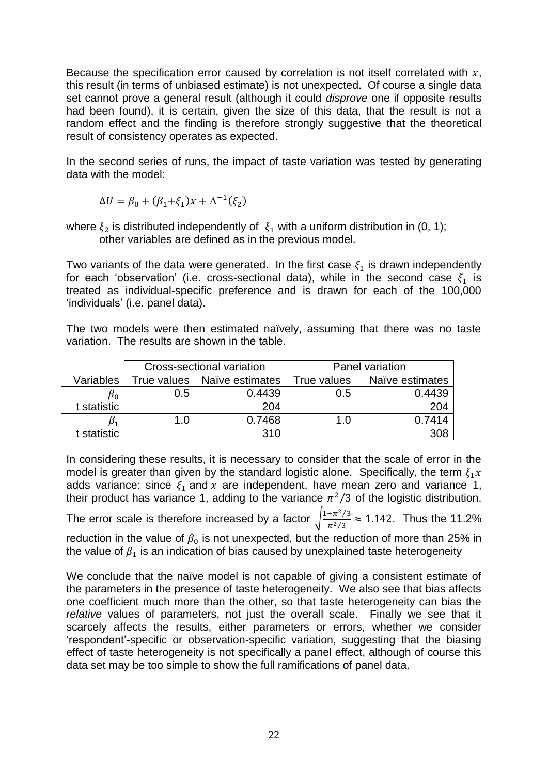Because the specification error caused by correlation is not itself correlated with  $x$ , this result (in terms of unbiased estimate) is not unexpected. Of course a single data set cannot prove a general result (although it could *disprove* one if opposite results had been found), it is certain, given the size of this data, that the result is not a random effect and the finding is therefore strongly suggestive that the theoretical result of consistency operates as expected.

In the second series of runs, the impact of taste variation was tested by generating data with the model:

$$
\Delta U = \beta_0 + (\beta_1 + \xi_1)x + \Lambda^{-1}(\xi_2)
$$

where  $\xi_2$  is distributed independently of  $\xi_1$  with a uniform distribution in (0, 1); other variables are defined as in the previous model.

Two variants of the data were generated. In the first case  $\xi_1$  is drawn independently for each 'observation' (i.e. cross-sectional data), while in the second case  $\xi_1$  is treated as individual-specific preference and is drawn for each of the 100,000 "individuals" (i.e. panel data).

The two models were then estimated naïvely, assuming that there was no taste variation. The results are shown in the table.

|             |             | Cross-sectional variation | Panel variation |                 |  |
|-------------|-------------|---------------------------|-----------------|-----------------|--|
| Variables   | True values | Naïve estimates           | True values     | Naïve estimates |  |
| D۵          | 0.5         | 0.4439                    | 0.5             | 0.4439          |  |
| t statistic |             | 204                       |                 | 204             |  |
|             | 1.0         | 0.7468                    | 1.0             | 0 7414          |  |
| t statistic |             | 310                       |                 | 308             |  |

In considering these results, it is necessary to consider that the scale of error in the model is greater than given by the standard logistic alone. Specifically, the term  $\xi_1 x$ adds variance: since  $\xi_1$  and x are independent, have mean zero and variance 1, their product has variance 1, adding to the variance  $\pi^2/3$  of the logistic distribution. The error scale is therefore increased by a factor  $\int_0^1$  $\frac{4\pi^2/3}{\pi^2/3} \approx 1.142$ . Thus the 11.2% reduction in the value of  $\beta_0$  is not unexpected, but the reduction of more than 25% in the value of  $\beta_1$  is an indication of bias caused by unexplained taste heterogeneity

We conclude that the naïve model is not capable of giving a consistent estimate of the parameters in the presence of taste heterogeneity. We also see that bias affects one coefficient much more than the other, so that taste heterogeneity can bias the *relative* values of parameters, not just the overall scale. Finally we see that it scarcely affects the results, either parameters or errors, whether we consider "respondent"-specific or observation-specific variation, suggesting that the biasing effect of taste heterogeneity is not specifically a panel effect, although of course this data set may be too simple to show the full ramifications of panel data.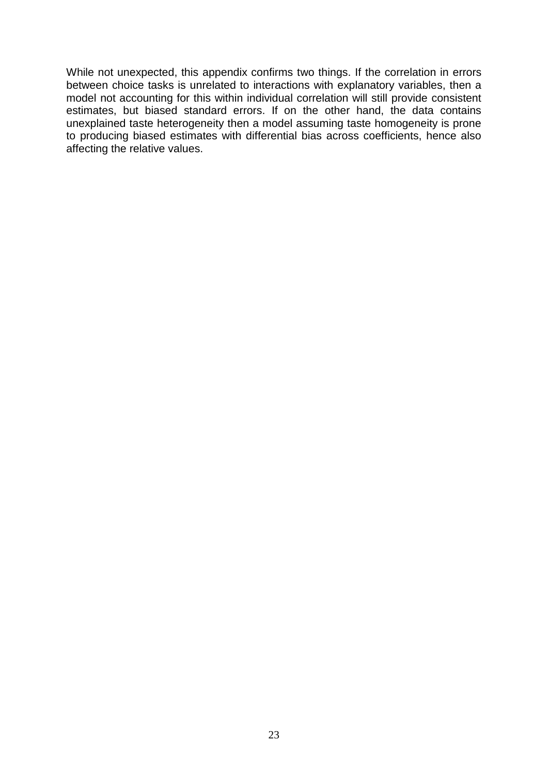While not unexpected, this appendix confirms two things. If the correlation in errors between choice tasks is unrelated to interactions with explanatory variables, then a model not accounting for this within individual correlation will still provide consistent estimates, but biased standard errors. If on the other hand, the data contains unexplained taste heterogeneity then a model assuming taste homogeneity is prone to producing biased estimates with differential bias across coefficients, hence also affecting the relative values.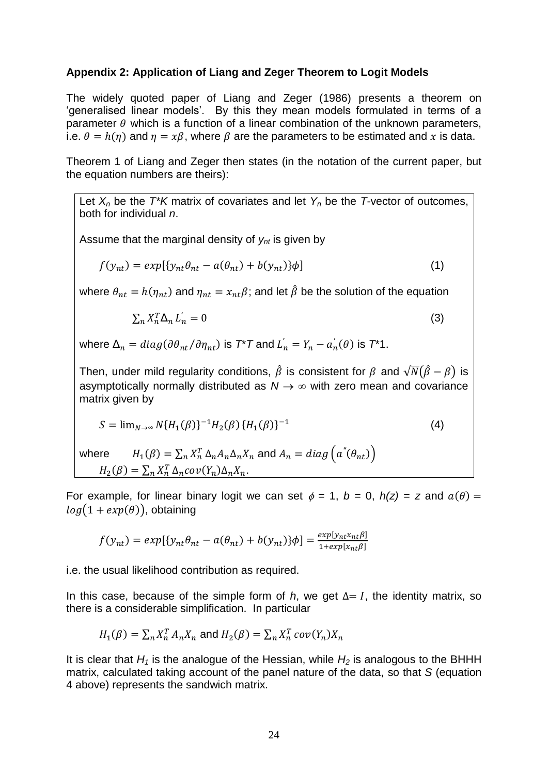## **Appendix 2: Application of Liang and Zeger Theorem to Logit Models**

The widely quoted paper of Liang and Zeger (1986) presents a theorem on 'generalised linear models'. By this they mean models formulated in terms of a parameter  $\theta$  which is a function of a linear combination of the unknown parameters, i.e.  $\theta = h(\eta)$  and  $\eta = x\beta$ , where  $\beta$  are the parameters to be estimated and x is data.

Theorem 1 of Liang and Zeger then states (in the notation of the current paper, but the equation numbers are theirs):

Let  $X_n$  be the  $T^*K$  matrix of covariates and let  $Y_n$  be the *T*-vector of outcomes, both for individual *n*.

Assume that the marginal density of *ynt* is given by

$$
f(y_{nt}) = exp[\{y_{nt}\theta_{nt} - a(\theta_{nt}) + b(y_{nt})\}\phi]
$$
\n(1)

where  $\theta_{nt} = h(\eta_{nt})$  and  $\eta_{nt} = x_{nt}\beta$ ; and let  $\hat{\beta}$  be the solution of the equation

$$
\sum_{n} X_{n}^{T} \Delta_{n} L_{n}^{'} = 0 \tag{3}
$$

where  $\Delta_n = diag(\partial \theta_{nt}/\partial \eta_{nt})$  is  $T^*T$  and  $L_n^{'} = Y_n - a_n^{'}(\theta)$  is  $T^*1$ . 

Then, under mild regularity conditions,  $\hat{\beta}$  is consistent for  $\beta$  and  $\sqrt{N}(\hat{\beta}-\beta)$  is asymptotically normally distributed as  $N \rightarrow \infty$  with zero mean and covariance matrix given by

$$
S = \lim_{N \to \infty} N \{ H_1(\beta) \}^{-1} H_2(\beta) \{ H_1(\beta) \}^{-1}
$$
 (4)

where  $\beta(\beta) = \sum_n X_n^T \Delta_n A_n \Delta_n X_n$  and  $H_2(\beta) = \sum_n X_n^T \Delta_n cov(Y_n) \Delta_n X_n.$ 

For example, for linear binary logit we can set  $\phi = 1$ ,  $b = 0$ ,  $h(z) = z$  and  $a(\theta) = z$  $log(1 + exp(\theta))$ , obtaining

$$
f(y_{nt}) = exp[\{y_{nt}\theta_{nt} - a(\theta_{nt}) + b(y_{nt})\}\phi] = \frac{exp[y_{nt}x_{nt}\beta]}{1 + exp[x_{nt}\beta]}
$$

i.e. the usual likelihood contribution as required.

In this case, because of the simple form of *h*, we get  $\Delta = I$ , the identity matrix, so there is a considerable simplification. In particular

$$
H_1(\beta) = \sum_n X_n^T A_n X_n
$$
 and 
$$
H_2(\beta) = \sum_n X_n^T cov(Y_n) X_n
$$

It is clear that  $H_1$  is the analogue of the Hessian, while  $H_2$  is analogous to the BHHH matrix, calculated taking account of the panel nature of the data, so that *S* (equation 4 above) represents the sandwich matrix.